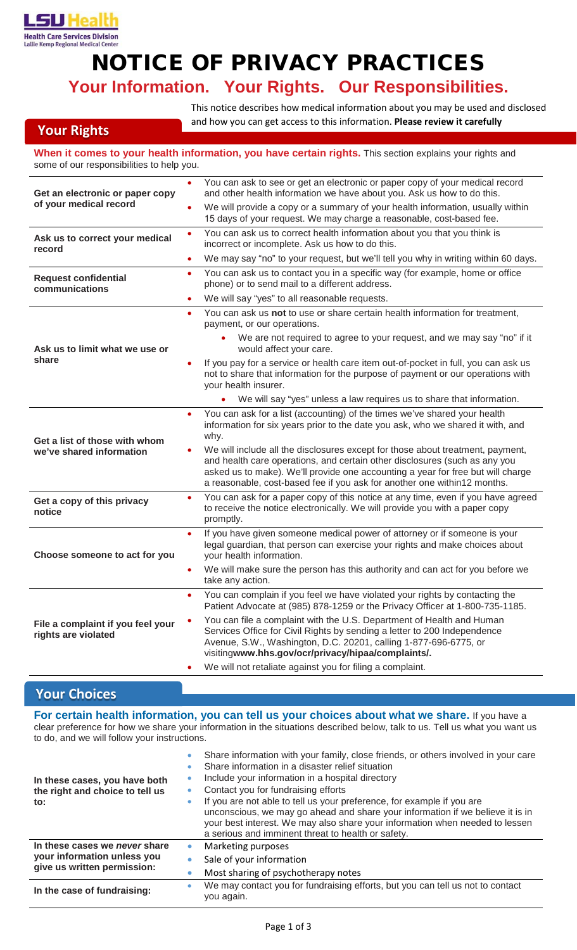

# NOTICE OF PRIVACY PRACTICES

## **Your Information. Your Rights. Our Responsibilities.**

This notice describes how medical information about you may be used and disclosed and how you can get access to this information. **Please review it carefully**

### **Your Rights**

When it comes to your health information, you have certain rights. This section explains your rights and some of our responsibilities to help you.

| Get an electronic or paper copy<br>of your medical record |           | You can ask to see or get an electronic or paper copy of your medical record<br>and other health information we have about you. Ask us how to do this.                                                                                                                                                                      |
|-----------------------------------------------------------|-----------|-----------------------------------------------------------------------------------------------------------------------------------------------------------------------------------------------------------------------------------------------------------------------------------------------------------------------------|
|                                                           |           | We will provide a copy or a summary of your health information, usually within<br>15 days of your request. We may charge a reasonable, cost-based fee.                                                                                                                                                                      |
| Ask us to correct your medical<br>record                  | $\bullet$ | You can ask us to correct health information about you that you think is<br>incorrect or incomplete. Ask us how to do this.                                                                                                                                                                                                 |
|                                                           | ٠         | We may say "no" to your request, but we'll tell you why in writing within 60 days.                                                                                                                                                                                                                                          |
| <b>Request confidential</b><br>communications             | $\bullet$ | You can ask us to contact you in a specific way (for example, home or office<br>phone) or to send mail to a different address.                                                                                                                                                                                              |
|                                                           | $\bullet$ | We will say "yes" to all reasonable requests.                                                                                                                                                                                                                                                                               |
| Ask us to limit what we use or<br>share                   | $\bullet$ | You can ask us not to use or share certain health information for treatment,<br>payment, or our operations.                                                                                                                                                                                                                 |
|                                                           |           | We are not required to agree to your request, and we may say "no" if it<br>would affect your care.                                                                                                                                                                                                                          |
|                                                           | $\bullet$ | If you pay for a service or health care item out-of-pocket in full, you can ask us<br>not to share that information for the purpose of payment or our operations with<br>your health insurer.                                                                                                                               |
|                                                           |           | We will say "yes" unless a law requires us to share that information.                                                                                                                                                                                                                                                       |
| Get a list of those with whom<br>we've shared information | $\bullet$ | You can ask for a list (accounting) of the times we've shared your health<br>information for six years prior to the date you ask, who we shared it with, and<br>why.                                                                                                                                                        |
|                                                           |           | We will include all the disclosures except for those about treatment, payment,<br>and health care operations, and certain other disclosures (such as any you<br>asked us to make). We'll provide one accounting a year for free but will charge<br>a reasonable, cost-based fee if you ask for another one within12 months. |
| Get a copy of this privacy<br>notice                      | $\bullet$ | You can ask for a paper copy of this notice at any time, even if you have agreed<br>to receive the notice electronically. We will provide you with a paper copy<br>promptly.                                                                                                                                                |
| Choose someone to act for you                             |           | If you have given someone medical power of attorney or if someone is your<br>legal guardian, that person can exercise your rights and make choices about<br>your health information.                                                                                                                                        |
|                                                           | $\bullet$ | We will make sure the person has this authority and can act for you before we<br>take any action.                                                                                                                                                                                                                           |
| File a complaint if you feel your<br>rights are violated  |           | You can complain if you feel we have violated your rights by contacting the<br>Patient Advocate at (985) 878-1259 or the Privacy Officer at 1-800-735-1185.                                                                                                                                                                 |
|                                                           | ٠         | You can file a complaint with the U.S. Department of Health and Human<br>Services Office for Civil Rights by sending a letter to 200 Independence<br>Avenue, S.W., Washington, D.C. 20201, calling 1-877-696-6775, or<br>visitingwww.hhs.gov/ocr/privacy/hipaa/complaints/.                                                 |
|                                                           |           | We will not retaliate against you for filing a complaint.                                                                                                                                                                                                                                                                   |

**Your Choices**

**For certain health information, you can tell us your choices about what we share.** If you have a clear preference for how we share your information in the situations described below, talk to us. Tell us what you want us to do, and we will follow your instructions.

Share information with your family, close friends, or others involved in your care

| In these cases, you have both<br>the right and choice to tell us<br>$\mathbf{to}$ :         | Share information in a disaster relief situation<br>Include your information in a hospital directory<br>Contact you for fundraising efforts<br>If you are not able to tell us your preference, for example if you are<br>unconscious, we may go ahead and share your information if we believe it is in<br>your best interest. We may also share your information when needed to lessen<br>a serious and imminent threat to health or safety. |
|---------------------------------------------------------------------------------------------|-----------------------------------------------------------------------------------------------------------------------------------------------------------------------------------------------------------------------------------------------------------------------------------------------------------------------------------------------------------------------------------------------------------------------------------------------|
| In these cases we never share<br>your information unless you<br>give us written permission: | Marketing purposes<br>Sale of your information<br>Most sharing of psychotherapy notes                                                                                                                                                                                                                                                                                                                                                         |
| In the case of fundraising:                                                                 | We may contact you for fundraising efforts, but you can tell us not to contact<br>you again.                                                                                                                                                                                                                                                                                                                                                  |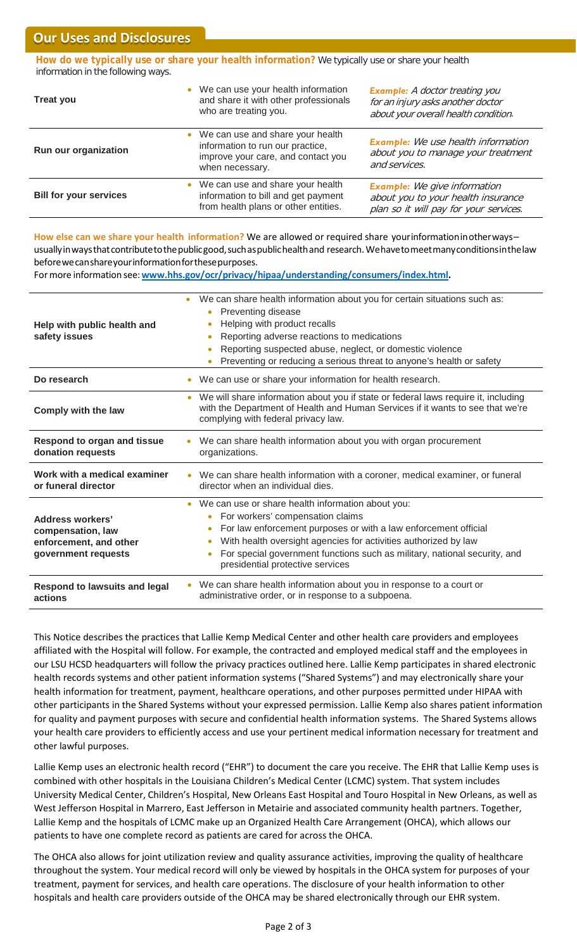**How do we typically use or share your health information?** We typically use or share your health information in the following ways.

| <b>Treat you</b>              | • We can use your health information<br>and share it with other professionals<br>who are treating you.                                     | <b>Example:</b> A doctor treating you<br>for an injury asks another doctor<br>about your overall health condition.  |
|-------------------------------|--------------------------------------------------------------------------------------------------------------------------------------------|---------------------------------------------------------------------------------------------------------------------|
| Run our organization          | We can use and share your health<br>$\bullet$<br>information to run our practice,<br>improve your care, and contact you<br>when necessary. | <b>Example:</b> We use health information<br>about you to manage your treatment<br>and services.                    |
| <b>Bill for your services</b> | • We can use and share your health<br>information to bill and get payment<br>from health plans or other entities.                          | <b>Example:</b> We give information<br>about you to your health insurance<br>plan so it will pay for your services. |

**How else can we share your health information?** We are allowed or required share yourinformationinotherways– usuallyinwaysthatcontributetothepublicgood,suchaspublichealthand research. Wehavetomeetmanyconditionsinthelaw beforewecanshareyourinformationforthesepurposes.

Formore information see:**[www.hhs.gov/ocr/privacy/hipaa/understanding/consumers/index.html.](http://www.hhs.gov/ocr/privacy/hipaa/understanding/consumers/index.html)**

| Help with public health and<br>safety issues                                                  | We can share health information about you for certain situations such as:<br>Preventing disease<br>Helping with product recalls<br>Reporting adverse reactions to medications<br>Reporting suspected abuse, neglect, or domestic violence<br>۰<br>Preventing or reducing a serious threat to anyone's health or safety                                         |
|-----------------------------------------------------------------------------------------------|----------------------------------------------------------------------------------------------------------------------------------------------------------------------------------------------------------------------------------------------------------------------------------------------------------------------------------------------------------------|
| Do research                                                                                   | We can use or share your information for health research.<br>$\bullet$                                                                                                                                                                                                                                                                                         |
| Comply with the law                                                                           | We will share information about you if state or federal laws require it, including<br>$\bullet$<br>with the Department of Health and Human Services if it wants to see that we're<br>complying with federal privacy law.                                                                                                                                       |
| <b>Respond to organ and tissue</b><br>donation requests                                       | We can share health information about you with organ procurement<br>organizations.                                                                                                                                                                                                                                                                             |
| Work with a medical examiner<br>or funeral director                                           | We can share health information with a coroner, medical examiner, or funeral<br>director when an individual dies.                                                                                                                                                                                                                                              |
| <b>Address workers'</b><br>compensation, law<br>enforcement, and other<br>government requests | We can use or share health information about you:<br>$\bullet$<br>For workers' compensation claims<br>For law enforcement purposes or with a law enforcement official<br>With health oversight agencies for activities authorized by law<br>۰<br>For special government functions such as military, national security, and<br>presidential protective services |
| <b>Respond to lawsuits and legal</b><br>actions                                               | We can share health information about you in response to a court or<br>administrative order, or in response to a subpoena.                                                                                                                                                                                                                                     |

This Notice describes the practices that Lallie Kemp Medical Center and other health care providers and employees affiliated with the Hospital will follow. For example, the contracted and employed medical staff and the employees in our LSU HCSD headquarters will follow the privacy practices outlined here. Lallie Kemp participates in shared electronic health records systems and other patient information systems ("Shared Systems") and may electronically share your health information for treatment, payment, healthcare operations, and other purposes permitted under HIPAA with other participants in the Shared Systems without your expressed permission. Lallie Kemp also shares patient information for quality and payment purposes with secure and confidential health information systems. The Shared Systems allows your health care providers to efficiently access and use your pertinent medical information necessary for treatment and other lawful purposes.

Lallie Kemp uses an electronic health record ("EHR") to document the care you receive. The EHR that Lallie Kemp uses is combined with other hospitals in the Louisiana Children's Medical Center (LCMC) system. That system includes University Medical Center, Children's Hospital, New Orleans East Hospital and Touro Hospital in New Orleans, as well as West Jefferson Hospital in Marrero, East Jefferson in Metairie and associated community health partners. Together, Lallie Kemp and the hospitals of LCMC make up an Organized Health Care Arrangement (OHCA), which allows our patients to have one complete record as patients are cared for across the OHCA.

The OHCA also allows for joint utilization review and quality assurance activities, improving the quality of healthcare throughout the system. Your medical record will only be viewed by hospitals in the OHCA system for purposes of your treatment, payment for services, and health care operations. The disclosure of your health information to other hospitals and health care providers outside of the OHCA may be shared electronically through our EHR system.